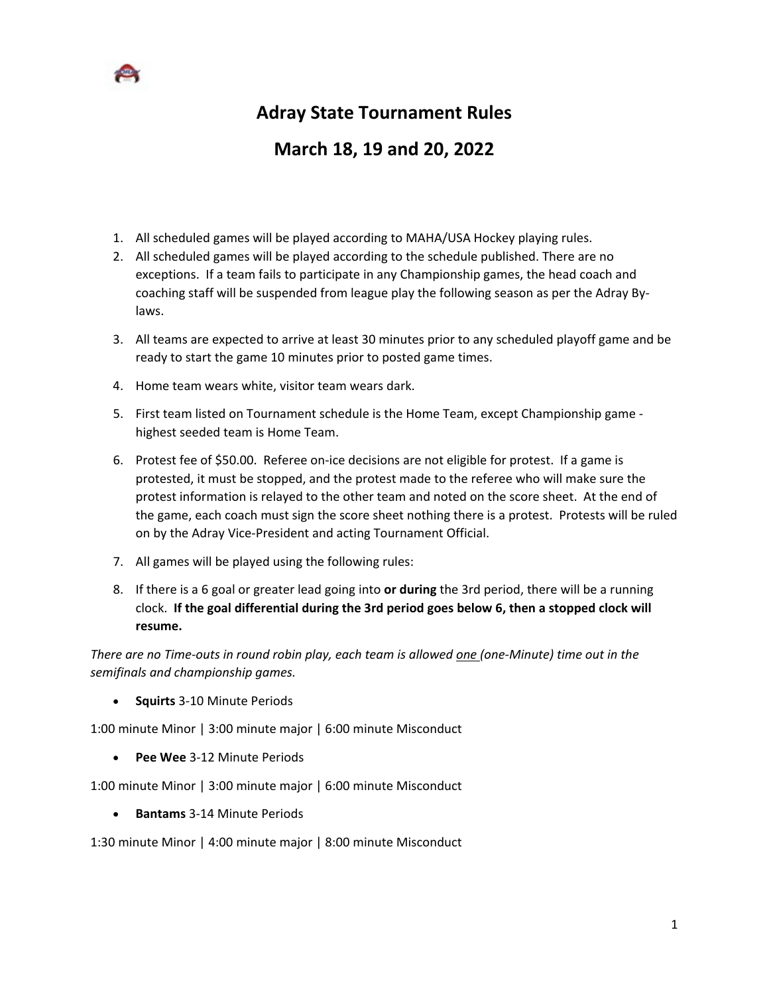

## **Adray State Tournament Rules**

## **March 18, 19 and 20, 2022**

- 1. All scheduled games will be played according to MAHA/USA Hockey playing rules.
- 2. All scheduled games will be played according to the schedule published. There are no exceptions. If a team fails to participate in any Championship games, the head coach and coaching staff will be suspended from league play the following season as per the Adray Bylaws.
- 3. All teams are expected to arrive at least 30 minutes prior to any scheduled playoff game and be ready to start the game 10 minutes prior to posted game times.
- 4. Home team wears white, visitor team wears dark.
- 5. First team listed on Tournament schedule is the Home Team, except Championship game highest seeded team is Home Team.
- 6. Protest fee of \$50.00. Referee on-ice decisions are not eligible for protest. If a game is protested, it must be stopped, and the protest made to the referee who will make sure the protest information is relayed to the other team and noted on the score sheet. At the end of the game, each coach must sign the score sheet nothing there is a protest. Protests will be ruled on by the Adray Vice-President and acting Tournament Official.
- 7. All games will be played using the following rules:
- 8. If there is a 6 goal or greater lead going into **or during** the 3rd period, there will be a running clock. **If the goal differential during the 3rd period goes below 6, then a stopped clock will resume.**

*There are no Time-outs in round robin play, each team is allowed one (one-Minute) time out in the semifinals and championship games.*

• **Squirts** 3-10 Minute Periods

1:00 minute Minor | 3:00 minute major | 6:00 minute Misconduct

• **Pee Wee** 3-12 Minute Periods

1:00 minute Minor | 3:00 minute major | 6:00 minute Misconduct

• **Bantams** 3-14 Minute Periods

1:30 minute Minor | 4:00 minute major | 8:00 minute Misconduct